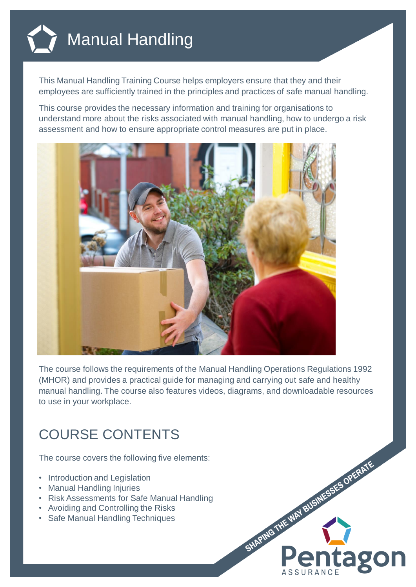

This Manual Handling Training Course helps employers ensure that they and their employees are sufficiently trained in the principles and practices of safe manual handling.

This course provides the necessary information and training for organisations to understand more about the risks associated with manual handling, how to undergo a risk assessment and how to ensure appropriate control measures are put in place.



The course follows the requirements of the Manual Handling Operations Regulations 1992 (MHOR) and provides a practical guide for managing and carrying out safe and healthy manual handling. The course also features videos, diagrams, and downloadable resources to use in your workplace.

## COURSE CONTENTS

The course covers the following five elements:

- Introduction and Legislation
- Manual Handling Injuries
- Risk Assessments for Safe Manual Handling
- Avoiding and Controlling the Risks
- Safe Manual Handling Techniques